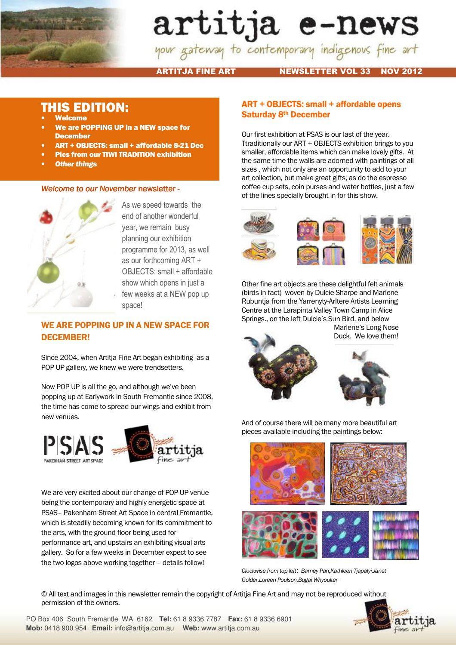

# artitja e-news

ARTITJA FINE ART NEWSLETTER VOL 33 NOV 2012

# THIS EDITION:

- **Welcome**
- We are POPPING UP in a NEW space for **December**
- ART + OBJECTS: small + affordable 8-21 Dec
- Pics from our TIWI TRADITION exhibition
- **Other things**

### Welcome to our November newsletter -



As we speed towards the end of another wonderful year, we remain busy planning our exhibition programme for 2013, as well as our forthcoming ART + OBJECTS: small + affordable show which opens in just a few weeks at a NEW pop up space!

## WE ARE POPPING UP IN A NEW SPACE FOR DECEMBER!

Since 2004, when Artitja Fine Art began exhibiting as a POP UP gallery, we knew we were trendsetters.

Now POP UP is all the go, and although we've been popping up at Earlywork in South Fremantle since 2008, the time has come to spread our wings and exhibit from new venues.





We are very excited about our change of POP UP venue being the contemporary and highly energetic space at PSAS– Pakenham Street Art Space in central Fremantle, which is steadily becoming known for its commitment to the arts, with the ground floor being used for performance art, and upstairs an exhibiting visual arts gallery. So for a few weeks in December expect to see the two logos above working together – details follow!

### ART + OBJECTS: small + affordable opens Saturday 8th December

Our first exhibition at PSAS is our last of the year. Ttraditionally our ART + OBJECTS exhibition brings to you smaller, affordable items which can make lovely gifts. At the same time the walls are adorned with paintings of all sizes , which not only are an opportunity to add to your art collection, but make great gifts, as do the espresso coffee cup sets, coin purses and water bottles, just a few of the lines specially brought in for this show.



Other fine art objects are these delightful felt animals (birds in fact) woven by Dulcie Sharpe and Marlene Rubuntja from the Yarrenyty-Arltere Artists Learning Centre at the Larapinta Valley Town Camp in Alice Springs., on the left Dulcie's Sun Bird, and below



Marlene's Long Nose Duck. We love them!



And of course there will be many more beautiful art pieces available including the paintings below:



Clockwise from top left: Barney Pan,Kathleen Tjapalyi,Janet Golder,Loreen Poulson,Bugai Whyoulter

© All text and images in this newsletter remain the copyright of Artitja Fine Art and may not be reproduced without permission of the owners.

PO Box 406 South Fremantle WA 6162 **Tel:** 61 8 9336 7787 **Fax:** 61 8 9336 6901 **Mob:** 0418 900 954 **Email:** info@artitja.com.au **Web:** www.artitja.com.au